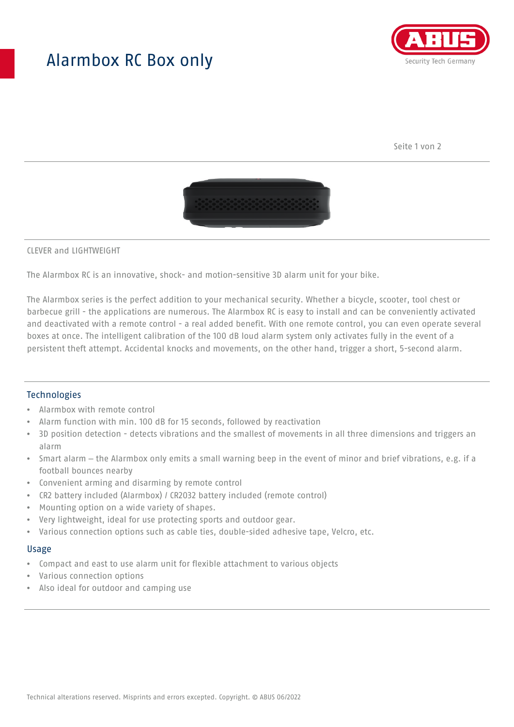## Alarmbox RC Box only



Seite 1 von 2



#### CLEVER and LIGHTWEIGHT

The Alarmbox RC is an innovative, shock- and motion-sensitive 3D alarm unit for your bike.

The Alarmbox series is the perfect addition to your mechanical security. Whether a bicycle, scooter, tool chest or barbecue grill - the applications are numerous. The Alarmbox RC is easy to install and can be conveniently activated and deactivated with a remote control - a real added benefit. With one remote control, you can even operate several boxes at once. The intelligent calibration of the 100 dB loud alarm system only activates fully in the event of a persistent theft attempt. Accidental knocks and movements, on the other hand, trigger a short, 5-second alarm.

### **Technologies**

- Alarmbox with remote control
- Alarm function with min. 100 dB for 15 seconds, followed by reactivation
- 3D position detection detects vibrations and the smallest of movements in all three dimensions and triggers an alarm
- Smart alarm the Alarmbox only emits a small warning beep in the event of minor and brief vibrations, e.g. if a football bounces nearby
- Convenient arming and disarming by remote control
- CR2 battery included (Alarmbox) / CR2032 battery included (remote control)
- Mounting option on a wide variety of shapes.
- Very lightweight, ideal for use protecting sports and outdoor gear.
- Various connection options such as cable ties, double-sided adhesive tape, Velcro, etc.

#### Usage

- Compact and east to use alarm unit for flexible attachment to various objects
- Various connection options
- Also ideal for outdoor and camping use